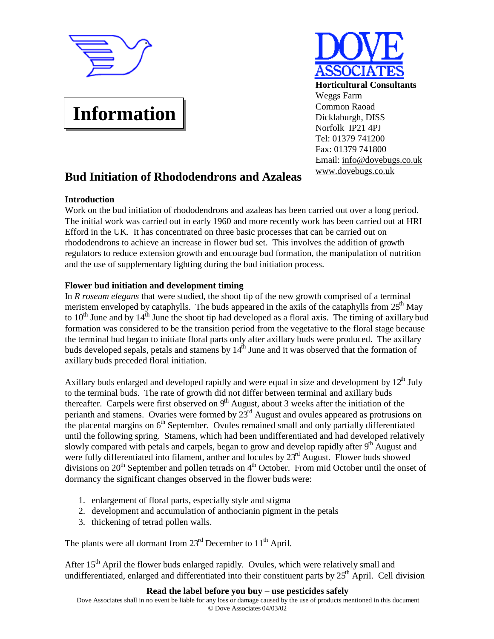

# **Information**



# **Bud Initiation of Rhododendrons and Azaleas**

# **Introduction**

Work on the bud initiation of rhododendrons and azaleas has been carried out over a long period. The initial work was carried out in early 1960 and more recently work has been carried out at HRI Efford in the UK. It has concentrated on three basic processes that can be carried out on rhododendrons to achieve an increase in flower bud set. This involves the addition of growth regulators to reduce extension growth and encourage bud formation, the manipulation of nutrition and the use of supplementary lighting during the bud initiation process.

# **Flower bud initiation and development timing**

In *R roseum elegans* that were studied, the shoot tip of the new growth comprised of a terminal meristem enveloped by cataphylls. The buds appeared in the axils of the cataphylls from  $25<sup>th</sup>$  May to  $10^{th}$  June and by  $14^{th}$  June the shoot tip had developed as a floral axis. The timing of axillary bud formation was considered to be the transition period from the vegetative to the floral stage because the terminal bud began to initiate floral parts only after axillary buds were produced. The axillary buds developed sepals, petals and stamens by  $14^{\text{th}}$  June and it was observed that the formation of axillary buds preceded floral initiation.

Axillary buds enlarged and developed rapidly and were equal in size and development by  $12^{th}$  July to the terminal buds. The rate of growth did not differ between terminal and axillary buds thereafter. Carpels were first observed on  $9<sup>th</sup>$  August, about 3 weeks after the initiation of the perianth and stamens. Ovaries were formed by  $23<sup>rd</sup>$  August and ovules appeared as protrusions on the placental margins on  $6<sup>th</sup>$  September. Ovules remained small and only partially differentiated until the following spring. Stamens, which had been undifferentiated and had developed relatively slowly compared with petals and carpels, began to grow and develop rapidly after  $9<sup>th</sup>$  August and were fully differentiated into filament, anther and locules by 23<sup>rd</sup> August. Flower buds showed divisions on  $20<sup>th</sup>$  September and pollen tetrads on  $4<sup>th</sup>$  October. From mid October until the onset of dormancy the significant changes observed in the flower buds were:

- 1. enlargement of floral parts, especially style and stigma
- 2. development and accumulation of anthocianin pigment in the petals
- 3. thickening of tetrad pollen walls.

The plants were all dormant from  $23<sup>rd</sup>$  December to  $11<sup>th</sup>$  April.

After 15<sup>th</sup> April the flower buds enlarged rapidly. Ovules, which were relatively small and undifferentiated, enlarged and differentiated into their constituent parts by 25<sup>th</sup> April. Cell division

**Read the label before you buy – use pesticides safely**